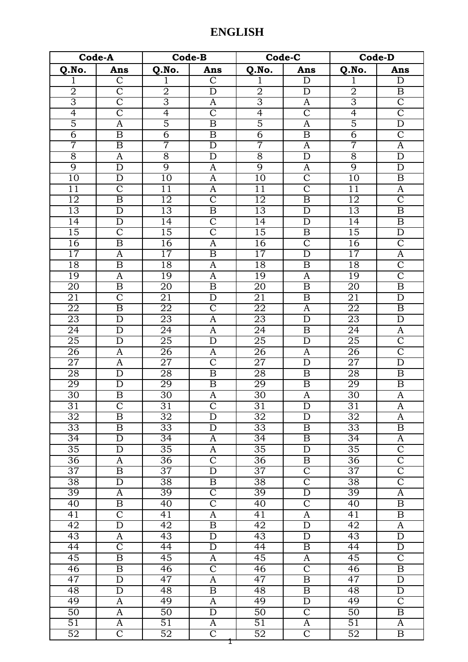## **ENGLISH**

| Code-A          |                         | Code-B          |                         | Code-C          |                         | <b>Code-D</b>   |                         |
|-----------------|-------------------------|-----------------|-------------------------|-----------------|-------------------------|-----------------|-------------------------|
| Q.No.           | Ans                     | Q.No.           | Ans                     | Q.No.           | Ans                     | Q.No.           | Ans                     |
| 1               | $\mathsf{C}$            | 1               | $\mathsf{C}$            | 1               | D                       | 1               | D                       |
| $\overline{2}$  | $\overline{\mathsf{C}}$ | $\overline{2}$  | $\overline{\rm D}$      | $\overline{2}$  | $\overline{\rm D}$      | $\overline{2}$  | $\overline{\mathbf{B}}$ |
| 3               | $\overline{\text{C}}$   | $\overline{3}$  | A                       | 3               | $\overline{\rm A}$      | 3               | $\overline{\text{C}}$   |
| $\overline{4}$  | $\overline{\text{C}}$   | $\overline{4}$  | $\overline{\text{C}}$   | $\overline{4}$  | $\overline{\text{C}}$   | $\overline{4}$  | $\overline{\text{C}}$   |
| $\overline{5}$  | A                       | $\overline{5}$  | $\overline{\mathbf{B}}$ | $\overline{5}$  | A                       | $\overline{5}$  | $\overline{\rm D}$      |
| $\overline{6}$  | $\overline{\mathrm{B}}$ | $\overline{6}$  | $\boldsymbol{B}$        | $\overline{6}$  | $\overline{\mathbf{B}}$ | $\overline{6}$  | $\overline{\text{C}}$   |
| 7               | $\boldsymbol{B}$        | 7               | $\overline{\rm D}$      | 7               | A                       | 7               | $\overline{A}$          |
| $\overline{8}$  | A                       | $\overline{8}$  | $\overline{D}$          | $\overline{8}$  | $\overline{\rm D}$      | $\overline{8}$  | $\overline{\rm D}$      |
| $\overline{9}$  | $\mathbf D$             | $\overline{9}$  | A                       | $\overline{9}$  | A                       | $\overline{9}$  | $\mathbf D$             |
| $\overline{10}$ | $\mathbf D$             | $\overline{10}$ | A                       | $\overline{10}$ | $\overline{\text{C}}$   | $\overline{10}$ | $\boldsymbol{B}$        |
| 11              | $\overline{\text{C}}$   | $\overline{11}$ | A                       | $\overline{11}$ | $\overline{\text{C}}$   | $\overline{11}$ | $\boldsymbol{A}$        |
| $\overline{12}$ | $\overline{\mathrm{B}}$ | 12              | $\overline{\text{C}}$   | $\overline{12}$ | $\overline{\mathrm{B}}$ | $\overline{12}$ | $\overline{\mathsf{C}}$ |
| 13              | $\overline{D}$          | 13              | $\overline{\mathrm{B}}$ | 13              | $\overline{D}$          | 13              | $\overline{B}$          |
| 14              | D                       | $\overline{14}$ | $\overline{\text{C}}$   | 14              | $\overline{\rm D}$      | 14              | $\overline{B}$          |
| 15              | $\overline{\mathsf{C}}$ | $\overline{15}$ | $\overline{\text{C}}$   | 15              | $\boldsymbol{B}$        | $\overline{15}$ | $\overline{D}$          |
| $\overline{16}$ | $\overline{\mathrm{B}}$ | 16              | A                       | 16              | $\overline{\mathsf{C}}$ | $\overline{16}$ | $\overline{\text{C}}$   |
| $\overline{17}$ | A                       | 17              | $\overline{\mathrm{B}}$ | $\overline{17}$ | $\overline{\rm D}$      | $\overline{17}$ | $\overline{A}$          |
| 18              | $\overline{\mathrm{B}}$ | 18              | A                       | 18              | $\boldsymbol{B}$        | 18              | $\overline{\rm C}$      |
| 19              | A                       | 19              | A                       | 19              | $\overline{\rm A}$      | 19              | $\overline{\text{C}}$   |
| 20              | $\overline{\mathrm{B}}$ | $\overline{20}$ | B                       | $\overline{20}$ | $\overline{\mathbf{B}}$ | $\overline{20}$ | $\overline{B}$          |
| $\overline{21}$ | $\overline{\mathsf{C}}$ | $\overline{21}$ | $\overline{D}$          | $\overline{21}$ | $\overline{\mathbf{B}}$ | $\overline{21}$ | $\overline{D}$          |
| $\overline{22}$ | $\overline{\mathrm{B}}$ | $\overline{22}$ | $\overline{\text{C}}$   | $\overline{22}$ | A                       | 22              | $\overline{B}$          |
| 23              | $\mathbf D$             | 23              | $\overline{A}$          | 23              | $\overline{\rm D}$      | 23              | $\overline{D}$          |
| $\overline{24}$ | $\overline{D}$          | $\overline{24}$ | $\overline{A}$          | $\overline{24}$ | $\overline{\mathbf{B}}$ | $\overline{24}$ | $\overline{A}$          |
| $\overline{25}$ | $\overline{D}$          | $\overline{25}$ | $\overline{\rm D}$      | $\overline{25}$ | $\overline{D}$          | $\overline{25}$ | $\overline{C}$          |
| 26              | A                       | $\overline{26}$ | A                       | 26              | A                       | $\overline{26}$ | $\overline{C}$          |
| $\overline{27}$ | A                       | $\overline{27}$ | $\overline{\text{C}}$   | $\overline{27}$ | $\overline{D}$          | $\overline{27}$ | $\overline{\mathrm{D}}$ |
| $\overline{28}$ | $\overline{\rm D}$      | $\overline{28}$ | $\overline{\mathrm{B}}$ | $\overline{28}$ | $\boldsymbol{B}$        | $\overline{28}$ | $\boldsymbol{B}$        |
| 29              | $\mathbf D$             | 29              | $\overline{\mathrm{B}}$ | 29              | $\overline{\mathbf{B}}$ | 29              | $\overline{B}$          |
| 30              | $\overline{\mathrm{B}}$ | $\overline{30}$ | A                       | $\overline{30}$ | A                       | $\overline{30}$ | $\overline{A}$          |
| $\overline{31}$ | $\overline{\text{C}}$   | $\overline{31}$ | $\overline{\text{C}}$   | $\overline{31}$ | D                       | $\overline{31}$ | A                       |
| $\overline{32}$ | $\overline{\mathrm{B}}$ | $\overline{32}$ | $\overline{\rm D}$      | $\overline{32}$ | $\overline{\rm D}$      | $\overline{32}$ | $\mathbf{A}$            |
| $\overline{33}$ | B                       | $\overline{33}$ | $\mathbf D$             | $\overline{33}$ | $\boldsymbol{B}$        | $\overline{33}$ | $\boldsymbol{B}$        |
| $\overline{34}$ | $\overline{D}$          | $\overline{34}$ | A                       | $\overline{34}$ | $\overline{\mathbf{B}}$ | $\overline{34}$ | $\overline{A}$          |
| $\overline{35}$ | D                       | $\overline{35}$ | A                       | $\overline{35}$ | $\mathbf D$             | $\overline{35}$ | $\overline{C}$          |
| $\overline{36}$ | A                       | $\overline{36}$ | $\overline{\text{C}}$   | $\overline{36}$ | $\overline{\mathrm{B}}$ | $\overline{36}$ | $\overline{\text{C}}$   |
| $\overline{37}$ | $\boldsymbol{B}$        | $\overline{37}$ | $\overline{\rm D}$      | $\overline{37}$ | $\overline{C}$          | $\overline{37}$ | $\overline{\rm C}$      |
| $\overline{38}$ | $\mathbf D$             | 38              | B                       | $\overline{38}$ | $\overline{\text{C}}$   | $\overline{38}$ | $\overline{\mathsf{C}}$ |
| $\overline{39}$ | A                       | $\overline{39}$ | $\overline{\text{C}}$   | $\overline{39}$ | $\overline{\rm D}$      | $\overline{39}$ | $\overline{A}$          |
| $\overline{40}$ | $\overline{\mathrm{B}}$ | 40              | $\overline{\text{C}}$   | 40              | $\overline{C}$          | 40              | $\overline{B}$          |
| $\overline{41}$ | $\overline{\mathsf{C}}$ | $\overline{41}$ | $\overline{\mathrm{A}}$ | 41              | $\overline{A}$          | $\overline{41}$ | $\overline{\mathbf{B}}$ |
| $\overline{42}$ | $\overline{\rm D}$      | $\overline{42}$ | $\overline{\mathrm{B}}$ | 42              | $\overline{D}$          | 42              | A                       |
| 43              | A                       | $\overline{43}$ | $\mathbf D$             | 43              | $\mathbf D$             | $\overline{43}$ | $\overline{D}$          |
| 44              | $\overline{\mathsf{C}}$ | $\overline{44}$ | $\mathbf D$             | 44              | $\boldsymbol{B}$        | $\overline{44}$ | $\overline{D}$          |
| $\overline{45}$ | $\overline{\mathbf{B}}$ | $\overline{45}$ | A                       | 45              | A                       | $\overline{45}$ | $\overline{C}$          |
| $\overline{46}$ | $\overline{\mathbf{B}}$ | 46              | $\overline{\mathsf{C}}$ | $\overline{46}$ | $\overline{\text{C}}$   | $\overline{46}$ | $\overline{\mathrm{B}}$ |
| 47              | $\overline{D}$          | 47              | $\overline{A}$          | 47              | $\overline{\mathrm{B}}$ | 47              | $\overline{\mathrm{D}}$ |
| 48              | D                       | 48              | $\overline{\mathbf{B}}$ | 48              | $\boldsymbol{B}$        | 48              | $\overline{D}$          |
| 49              | A                       | 49              | A                       | 49              | $\mathbf D$             | 49              | $\overline{\rm C}$      |
| $\overline{50}$ | A                       | $\overline{50}$ | $\overline{\rm D}$      | 50              | $\overline{C}$          | 50              | $\overline{\mathbf{B}}$ |
| $\overline{51}$ | A                       | $\overline{51}$ | A                       | $\overline{51}$ | A                       | $\overline{51}$ | $\overline{A}$          |
| 52              | $\overline{\text{C}}$   | $\overline{52}$ | $\overline{\text{C}}$   | 52              | $\overline{\rm C}$      | $\overline{52}$ | $\overline{\mathrm{B}}$ |
|                 |                         |                 |                         |                 |                         |                 |                         |

+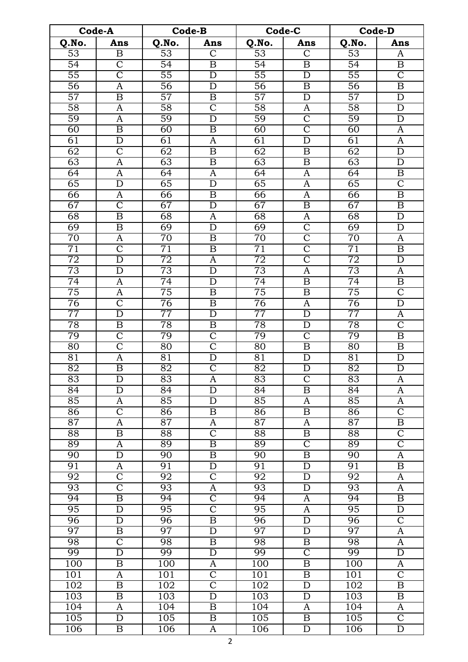| Q.No.<br>Q.No.<br>Q.No.<br>Q.No.<br>Ans<br>Ans<br>Ans<br>Ans<br>$\overline{53}$<br>$\overline{53}$<br>$\overline{53}$<br>$\overline{\mathsf{C}}$<br>$\overline{53}$<br>$\overline{\mathbf{B}}$<br>$\overline{\text{C}}$<br>A<br>$\overline{\text{C}}$<br>$\overline{54}$<br>$\overline{54}$<br>$\overline{54}$<br>$\overline{\mathrm{B}}$<br>$\overline{54}$<br>$\boldsymbol{B}$<br>$\boldsymbol{B}$<br>$\overline{\text{C}}$<br>$\overline{\text{C}}$<br>55<br>55<br>$\overline{55}$<br>$\overline{55}$<br>$\overline{D}$<br>$\overline{D}$<br>$\overline{56}$<br>$\overline{56}$<br>$\overline{56}$<br>$\overline{56}$<br>$\overline{B}$<br>$\mathbf D$<br>B<br>A<br>57<br>$\overline{57}$<br>$\overline{57}$<br>$\overline{57}$<br>$\overline{\mathbf{B}}$<br>$\mathbf D$<br>$\mathbf D$<br>B<br>58<br>$\overline{\text{C}}$<br>$\overline{58}$<br>$\overline{58}$<br>$\overline{58}$<br>$\overline{\mathrm{D}}$<br>$\mathbf{A}$<br>A<br>59<br>$\overline{59}$<br>$\overline{59}$<br>$\overline{\text{C}}$<br>$\overline{59}$<br>$\mathbf D$<br>$\mathbf D$<br>A<br>$\overline{\mathsf{C}}$<br>60<br>$\overline{\mathrm{B}}$<br>60<br>60<br>60<br>$\overline{\mathbf{B}}$<br>$\overline{A}$<br>61<br>$\overline{A}$<br>$\overline{D}$<br>61<br>$\overline{A}$<br>61<br>$\overline{\rm D}$<br>61<br>$\overline{\rm C}$<br>$\overline{62}$<br>$\overline{62}$<br>$\overline{62}$<br>$\overline{D}$<br>62<br>$\boldsymbol{B}$<br>$\boldsymbol{B}$<br>63<br>63<br>$\overline{63}$<br>$\overline{\mathrm{B}}$<br>$\overline{63}$<br>$\overline{\rm D}$<br>$\overline{\mathbf{B}}$<br>$\mathbf{A}$<br>$\overline{64}$<br>$\overline{64}$<br>64<br>64<br>A<br>A<br>B<br>A<br>$\overline{C}$<br>65<br>$\overline{65}$<br>$\overline{65}$<br>$\overline{65}$<br>D<br>$\mathbf D$<br>A<br>$\overline{\mathrm{B}}$<br>66<br>66<br>66<br>$\overline{\mathbf{B}}$<br>$\overline{A}$<br>66<br>A<br>$\overline{\rm C}$<br>67<br>67<br>67<br>$\overline{\mathrm{B}}$<br>67<br>$\overline{B}$<br>$\mathbf D$<br>$\overline{\rm D}$<br>$\overline{68}$<br>$\overline{\mathbf{B}}$<br>$\overline{68}$<br>$\overline{68}$<br>$\overline{68}$<br>A<br>A<br>$\overline{\rm C}$<br>$\overline{69}$<br>$\overline{\mathbf{B}}$<br>$\overline{69}$<br>69<br>$\overline{69}$<br>$\mathbf D$<br>$\mathbf D$<br>$\overline{\mathsf{C}}$<br>$\overline{70}$<br>$\overline{70}$<br>$\overline{70}$<br>$\overline{70}$<br>B<br>A<br>A<br>$\overline{\text{C}}$<br>$\overline{\text{C}}$<br>$\overline{71}$<br>$\overline{71}$<br>$\overline{71}$<br>$\overline{71}$<br>$\boldsymbol{B}$<br>$\boldsymbol{B}$<br>$\overline{\mathsf{C}}$<br>$\overline{72}$<br>72<br>$\overline{\rm D}$<br>72<br>72<br>$\overline{D}$<br>$\overline{A}$<br>73<br>73<br>73<br>73<br>$\overline{\rm D}$<br>$\overline{\rm D}$<br>$\overline{A}$<br>$\overline{A}$<br>$\overline{74}$<br>$\overline{74}$<br>$\overline{74}$<br>$\overline{74}$<br>$\overline{B}$<br>$\mathbf D$<br>B<br>A<br>$\overline{\rm C}$<br>75<br>$\overline{75}$<br>$\overline{75}$<br>$\overline{75}$<br>$\overline{B}$<br>$\overline{\mathrm{B}}$<br>A<br>$\overline{\text{C}}$<br>$\overline{76}$<br>$\overline{76}$<br>76<br>76<br>$\overline{D}$<br>$\boldsymbol{B}$<br>A<br>77<br>77<br>77<br>77<br>$\overline{\rm D}$<br>$\overline{\rm D}$<br>$\overline{D}$<br>A<br>$\overline{\rm C}$<br>$\overline{78}$<br>$\overline{78}$<br>$\overline{78}$<br>$\overline{78}$<br>$\overline{\mathbf{B}}$<br>$\overline{B}$<br>$\overline{\rm D}$<br>$\overline{\text{C}}$<br>79<br>79<br>$\overline{\text{C}}$<br>79<br>$\overline{C}$<br>79<br>$\overline{\mathbf{B}}$<br>$\overline{\text{C}}$<br>$\overline{\text{C}}$<br>$\overline{80}$<br>$\overline{80}$<br>$\overline{80}$<br>80<br>B<br>$\boldsymbol{B}$<br>$\overline{D}$<br>81<br>81<br>$\mathbf D$<br>81<br>$\mathbf D$<br>81<br>A<br>$\overline{\text{C}}$<br>$\overline{\mathrm{B}}$<br>$\overline{82}$<br>$\overline{\rm D}$<br>$\overline{82}$<br>$\overline{\rm D}$<br>$\overline{82}$<br>$\overline{82}$<br>$\overline{83}$<br>$\overline{83}$<br>$\overline{83}$<br>$\overline{83}$<br>$\overline{\rm C}$<br>D<br>A<br>A<br>$\overline{\rm D}$<br>$\overline{\mathrm{B}}$<br>$\overline{84}$<br>84<br>$\overline{84}$<br>$\overline{84}$<br>$\overline{A}$<br>$\mathbf D$<br>85<br>85<br>85<br>$\overline{D}$<br>85<br>A<br>A<br>A<br>$\overline{\text{C}}$<br>$\overline{\text{C}}$<br>86<br>$\overline{\mathbf{B}}$<br>$\overline{86}$<br>86<br>$\boldsymbol{B}$<br>86<br>87<br>$\overline{87}$<br>87<br>$\overline{B}$<br>$\overline{87}$<br>A<br>A<br>A<br>$\overline{\text{C}}$<br>$\overline{C}$<br>$\overline{88}$<br>$\overline{\mathrm{B}}$<br>$\overline{88}$<br>$\overline{88}$<br>$\overline{\mathrm{B}}$<br>$\overline{88}$<br>$\overline{\text{C}}$<br>$\overline{\text{C}}$<br>89<br>89<br>89<br>$\overline{\mathbf{B}}$<br>89<br>A<br>$\overline{\rm D}$<br>90<br>$\overline{\mathrm{B}}$<br>$\overline{90}$<br>$\overline{90}$<br>$\overline{90}$<br>$\overline{A}$<br>$\boldsymbol{B}$<br>91<br>91<br>$\overline{\rm D}$<br>$\overline{\mathbf{B}}$<br>91<br>$\mathbf D$<br>91<br>A<br>$\overline{\mathsf{C}}$<br>$\overline{\mathsf{C}}$<br>92<br>$\overline{92}$<br>$\overline{92}$<br>$\overline{D}$<br>$\overline{92}$<br>$\mathbf{A}$<br>$\overline{\text{C}}$<br>93<br>$\overline{\rm D}$<br>93<br>$\overline{A}$<br>93<br>$\overline{A}$<br>93<br>$\overline{\text{C}}$<br>$\overline{\mathrm{B}}$<br>94<br>$\overline{94}$<br>94<br>94<br>$\overline{\mathbf{B}}$<br>A<br>$\overline{\text{C}}$<br>95<br>$\overline{95}$<br>95<br>$\mathbf D$<br>95<br>$\mathbf D$<br>A<br>$\overline{\text{C}}$<br>$\overline{\rm D}$<br>$\overline{\rm D}$<br>$\overline{96}$<br>$\overline{96}$<br>$\overline{\mathbf{B}}$<br>$\overline{96}$<br>$\overline{96}$<br>97<br>97<br>97<br>$\overline{\rm D}$<br>$\overline{\rm D}$<br>$\overline{97}$<br>$\overline{A}$<br>$\overline{\mathbf{B}}$<br>$\overline{\mathsf{C}}$<br>98<br>$\overline{98}$<br>98<br>$\boldsymbol{B}$<br>98<br>B<br>A<br>$\overline{\mathsf{C}}$<br>$\overline{\rm D}$<br>99<br>99<br>99<br>$\overline{\rm D}$<br>99<br>$\overline{D}$<br>100<br>100<br>100<br>$\overline{\mathrm{B}}$<br>100<br>$\overline{\mathbf{B}}$<br>A<br>A<br>$\overline{\text{C}}$<br>$\overline{\text{C}}$<br>101<br>101<br>$\boldsymbol{B}$<br>101<br>101<br>A<br>$\overline{\text{C}}$<br>$\overline{\rm D}$<br>$\overline{\mathrm{B}}$<br>102<br>$\overline{\mathrm{B}}$<br>102<br>102<br>102<br>103<br>$\overline{\mathrm{B}}$<br>$\overline{103}$<br>$\overline{\rm D}$<br>103<br>$\overline{\rm D}$<br>103<br>$\overline{B}$<br>104<br>104<br>104<br>104<br>$\boldsymbol{B}$<br>$\mathbf{A}$<br>A<br>A<br>$\overline{\text{C}}$<br>105<br>$\overline{\rm D}$<br>105<br>$\overline{\mathrm{B}}$<br>105<br>105<br>$\overline{B}$<br>$\overline{D}$<br>106<br>$\boldsymbol{B}$<br>106<br>106<br>$\mathbf D$<br>106<br>A | Code-A |  | Code-B |  | Code-C |  | <b>Code-D</b> |  |
|----------------------------------------------------------------------------------------------------------------------------------------------------------------------------------------------------------------------------------------------------------------------------------------------------------------------------------------------------------------------------------------------------------------------------------------------------------------------------------------------------------------------------------------------------------------------------------------------------------------------------------------------------------------------------------------------------------------------------------------------------------------------------------------------------------------------------------------------------------------------------------------------------------------------------------------------------------------------------------------------------------------------------------------------------------------------------------------------------------------------------------------------------------------------------------------------------------------------------------------------------------------------------------------------------------------------------------------------------------------------------------------------------------------------------------------------------------------------------------------------------------------------------------------------------------------------------------------------------------------------------------------------------------------------------------------------------------------------------------------------------------------------------------------------------------------------------------------------------------------------------------------------------------------------------------------------------------------------------------------------------------------------------------------------------------------------------------------------------------------------------------------------------------------------------------------------------------------------------------------------------------------------------------------------------------------------------------------------------------------------------------------------------------------------------------------------------------------------------------------------------------------------------------------------------------------------------------------------------------------------------------------------------------------------------------------------------------------------------------------------------------------------------------------------------------------------------------------------------------------------------------------------------------------------------------------------------------------------------------------------------------------------------------------------------------------------------------------------------------------------------------------------------------------------------------------------------------------------------------------------------------------------------------------------------------------------------------------------------------------------------------------------------------------------------------------------------------------------------------------------------------------------------------------------------------------------------------------------------------------------------------------------------------------------------------------------------------------------------------------------------------------------------------------------------------------------------------------------------------------------------------------------------------------------------------------------------------------------------------------------------------------------------------------------------------------------------------------------------------------------------------------------------------------------------------------------------------------------------------------------------------------------------------------------------------------------------------------------------------------------------------------------------------------------------------------------------------------------------------------------------------------------------------------------------------------------------------------------------------------------------------------------------------------------------------------------------------------------------------------------------------------------------------------------------------------------------------------------------------------------------------------------------------------------------------------------------------------------------------------------------------------------------------------------------------------------------------------------------------------------------------------------------------------------------------------------------------------------------------------------------------------------------------------------------------------------------------------------------------------------------------------------------------------------------------------------------------------------------------------------------------------------------------------------------------------------------------------------------------------------------------------------------------------------------------------------------------------------------------------------------------------------------------------------------------------------------------------------------------------------------------------------------------------------------------------------------------------------------------------------------------------------------------------------------------------------------------------------------------------------------------------------------------------------------------------------------------------------------------------------------------------------------------------------------------------------------------------------------------------------------------------------------------------------------------------------------------------------------------------------------------------------------------------------------------------------------------------------------------------------------------------------------------------------------------------------------------------------------------------------------------------------------------------------------------------------------------------------------------------------------------|--------|--|--------|--|--------|--|---------------|--|
|                                                                                                                                                                                                                                                                                                                                                                                                                                                                                                                                                                                                                                                                                                                                                                                                                                                                                                                                                                                                                                                                                                                                                                                                                                                                                                                                                                                                                                                                                                                                                                                                                                                                                                                                                                                                                                                                                                                                                                                                                                                                                                                                                                                                                                                                                                                                                                                                                                                                                                                                                                                                                                                                                                                                                                                                                                                                                                                                                                                                                                                                                                                                                                                                                                                                                                                                                                                                                                                                                                                                                                                                                                                                                                                                                                                                                                                                                                                                                                                                                                                                                                                                                                                                                                                                                                                                                                                                                                                                                                                                                                                                                                                                                                                                                                                                                                                                                                                                                                                                                                                                                                                                                                                                                                                                                                                                                                                                                                                                                                                                                                                                                                                                                                                                                                                                                                                                                                                                                                                                                                                                                                                                                                                                                                                                                                                                                                                                                                                                                                                                                                                                                                                                                                                                                                                                                                                                                  |        |  |        |  |        |  |               |  |
|                                                                                                                                                                                                                                                                                                                                                                                                                                                                                                                                                                                                                                                                                                                                                                                                                                                                                                                                                                                                                                                                                                                                                                                                                                                                                                                                                                                                                                                                                                                                                                                                                                                                                                                                                                                                                                                                                                                                                                                                                                                                                                                                                                                                                                                                                                                                                                                                                                                                                                                                                                                                                                                                                                                                                                                                                                                                                                                                                                                                                                                                                                                                                                                                                                                                                                                                                                                                                                                                                                                                                                                                                                                                                                                                                                                                                                                                                                                                                                                                                                                                                                                                                                                                                                                                                                                                                                                                                                                                                                                                                                                                                                                                                                                                                                                                                                                                                                                                                                                                                                                                                                                                                                                                                                                                                                                                                                                                                                                                                                                                                                                                                                                                                                                                                                                                                                                                                                                                                                                                                                                                                                                                                                                                                                                                                                                                                                                                                                                                                                                                                                                                                                                                                                                                                                                                                                                                                  |        |  |        |  |        |  |               |  |
|                                                                                                                                                                                                                                                                                                                                                                                                                                                                                                                                                                                                                                                                                                                                                                                                                                                                                                                                                                                                                                                                                                                                                                                                                                                                                                                                                                                                                                                                                                                                                                                                                                                                                                                                                                                                                                                                                                                                                                                                                                                                                                                                                                                                                                                                                                                                                                                                                                                                                                                                                                                                                                                                                                                                                                                                                                                                                                                                                                                                                                                                                                                                                                                                                                                                                                                                                                                                                                                                                                                                                                                                                                                                                                                                                                                                                                                                                                                                                                                                                                                                                                                                                                                                                                                                                                                                                                                                                                                                                                                                                                                                                                                                                                                                                                                                                                                                                                                                                                                                                                                                                                                                                                                                                                                                                                                                                                                                                                                                                                                                                                                                                                                                                                                                                                                                                                                                                                                                                                                                                                                                                                                                                                                                                                                                                                                                                                                                                                                                                                                                                                                                                                                                                                                                                                                                                                                                                  |        |  |        |  |        |  |               |  |
|                                                                                                                                                                                                                                                                                                                                                                                                                                                                                                                                                                                                                                                                                                                                                                                                                                                                                                                                                                                                                                                                                                                                                                                                                                                                                                                                                                                                                                                                                                                                                                                                                                                                                                                                                                                                                                                                                                                                                                                                                                                                                                                                                                                                                                                                                                                                                                                                                                                                                                                                                                                                                                                                                                                                                                                                                                                                                                                                                                                                                                                                                                                                                                                                                                                                                                                                                                                                                                                                                                                                                                                                                                                                                                                                                                                                                                                                                                                                                                                                                                                                                                                                                                                                                                                                                                                                                                                                                                                                                                                                                                                                                                                                                                                                                                                                                                                                                                                                                                                                                                                                                                                                                                                                                                                                                                                                                                                                                                                                                                                                                                                                                                                                                                                                                                                                                                                                                                                                                                                                                                                                                                                                                                                                                                                                                                                                                                                                                                                                                                                                                                                                                                                                                                                                                                                                                                                                                  |        |  |        |  |        |  |               |  |
|                                                                                                                                                                                                                                                                                                                                                                                                                                                                                                                                                                                                                                                                                                                                                                                                                                                                                                                                                                                                                                                                                                                                                                                                                                                                                                                                                                                                                                                                                                                                                                                                                                                                                                                                                                                                                                                                                                                                                                                                                                                                                                                                                                                                                                                                                                                                                                                                                                                                                                                                                                                                                                                                                                                                                                                                                                                                                                                                                                                                                                                                                                                                                                                                                                                                                                                                                                                                                                                                                                                                                                                                                                                                                                                                                                                                                                                                                                                                                                                                                                                                                                                                                                                                                                                                                                                                                                                                                                                                                                                                                                                                                                                                                                                                                                                                                                                                                                                                                                                                                                                                                                                                                                                                                                                                                                                                                                                                                                                                                                                                                                                                                                                                                                                                                                                                                                                                                                                                                                                                                                                                                                                                                                                                                                                                                                                                                                                                                                                                                                                                                                                                                                                                                                                                                                                                                                                                                  |        |  |        |  |        |  |               |  |
|                                                                                                                                                                                                                                                                                                                                                                                                                                                                                                                                                                                                                                                                                                                                                                                                                                                                                                                                                                                                                                                                                                                                                                                                                                                                                                                                                                                                                                                                                                                                                                                                                                                                                                                                                                                                                                                                                                                                                                                                                                                                                                                                                                                                                                                                                                                                                                                                                                                                                                                                                                                                                                                                                                                                                                                                                                                                                                                                                                                                                                                                                                                                                                                                                                                                                                                                                                                                                                                                                                                                                                                                                                                                                                                                                                                                                                                                                                                                                                                                                                                                                                                                                                                                                                                                                                                                                                                                                                                                                                                                                                                                                                                                                                                                                                                                                                                                                                                                                                                                                                                                                                                                                                                                                                                                                                                                                                                                                                                                                                                                                                                                                                                                                                                                                                                                                                                                                                                                                                                                                                                                                                                                                                                                                                                                                                                                                                                                                                                                                                                                                                                                                                                                                                                                                                                                                                                                                  |        |  |        |  |        |  |               |  |
|                                                                                                                                                                                                                                                                                                                                                                                                                                                                                                                                                                                                                                                                                                                                                                                                                                                                                                                                                                                                                                                                                                                                                                                                                                                                                                                                                                                                                                                                                                                                                                                                                                                                                                                                                                                                                                                                                                                                                                                                                                                                                                                                                                                                                                                                                                                                                                                                                                                                                                                                                                                                                                                                                                                                                                                                                                                                                                                                                                                                                                                                                                                                                                                                                                                                                                                                                                                                                                                                                                                                                                                                                                                                                                                                                                                                                                                                                                                                                                                                                                                                                                                                                                                                                                                                                                                                                                                                                                                                                                                                                                                                                                                                                                                                                                                                                                                                                                                                                                                                                                                                                                                                                                                                                                                                                                                                                                                                                                                                                                                                                                                                                                                                                                                                                                                                                                                                                                                                                                                                                                                                                                                                                                                                                                                                                                                                                                                                                                                                                                                                                                                                                                                                                                                                                                                                                                                                                  |        |  |        |  |        |  |               |  |
|                                                                                                                                                                                                                                                                                                                                                                                                                                                                                                                                                                                                                                                                                                                                                                                                                                                                                                                                                                                                                                                                                                                                                                                                                                                                                                                                                                                                                                                                                                                                                                                                                                                                                                                                                                                                                                                                                                                                                                                                                                                                                                                                                                                                                                                                                                                                                                                                                                                                                                                                                                                                                                                                                                                                                                                                                                                                                                                                                                                                                                                                                                                                                                                                                                                                                                                                                                                                                                                                                                                                                                                                                                                                                                                                                                                                                                                                                                                                                                                                                                                                                                                                                                                                                                                                                                                                                                                                                                                                                                                                                                                                                                                                                                                                                                                                                                                                                                                                                                                                                                                                                                                                                                                                                                                                                                                                                                                                                                                                                                                                                                                                                                                                                                                                                                                                                                                                                                                                                                                                                                                                                                                                                                                                                                                                                                                                                                                                                                                                                                                                                                                                                                                                                                                                                                                                                                                                                  |        |  |        |  |        |  |               |  |
|                                                                                                                                                                                                                                                                                                                                                                                                                                                                                                                                                                                                                                                                                                                                                                                                                                                                                                                                                                                                                                                                                                                                                                                                                                                                                                                                                                                                                                                                                                                                                                                                                                                                                                                                                                                                                                                                                                                                                                                                                                                                                                                                                                                                                                                                                                                                                                                                                                                                                                                                                                                                                                                                                                                                                                                                                                                                                                                                                                                                                                                                                                                                                                                                                                                                                                                                                                                                                                                                                                                                                                                                                                                                                                                                                                                                                                                                                                                                                                                                                                                                                                                                                                                                                                                                                                                                                                                                                                                                                                                                                                                                                                                                                                                                                                                                                                                                                                                                                                                                                                                                                                                                                                                                                                                                                                                                                                                                                                                                                                                                                                                                                                                                                                                                                                                                                                                                                                                                                                                                                                                                                                                                                                                                                                                                                                                                                                                                                                                                                                                                                                                                                                                                                                                                                                                                                                                                                  |        |  |        |  |        |  |               |  |
|                                                                                                                                                                                                                                                                                                                                                                                                                                                                                                                                                                                                                                                                                                                                                                                                                                                                                                                                                                                                                                                                                                                                                                                                                                                                                                                                                                                                                                                                                                                                                                                                                                                                                                                                                                                                                                                                                                                                                                                                                                                                                                                                                                                                                                                                                                                                                                                                                                                                                                                                                                                                                                                                                                                                                                                                                                                                                                                                                                                                                                                                                                                                                                                                                                                                                                                                                                                                                                                                                                                                                                                                                                                                                                                                                                                                                                                                                                                                                                                                                                                                                                                                                                                                                                                                                                                                                                                                                                                                                                                                                                                                                                                                                                                                                                                                                                                                                                                                                                                                                                                                                                                                                                                                                                                                                                                                                                                                                                                                                                                                                                                                                                                                                                                                                                                                                                                                                                                                                                                                                                                                                                                                                                                                                                                                                                                                                                                                                                                                                                                                                                                                                                                                                                                                                                                                                                                                                  |        |  |        |  |        |  |               |  |
|                                                                                                                                                                                                                                                                                                                                                                                                                                                                                                                                                                                                                                                                                                                                                                                                                                                                                                                                                                                                                                                                                                                                                                                                                                                                                                                                                                                                                                                                                                                                                                                                                                                                                                                                                                                                                                                                                                                                                                                                                                                                                                                                                                                                                                                                                                                                                                                                                                                                                                                                                                                                                                                                                                                                                                                                                                                                                                                                                                                                                                                                                                                                                                                                                                                                                                                                                                                                                                                                                                                                                                                                                                                                                                                                                                                                                                                                                                                                                                                                                                                                                                                                                                                                                                                                                                                                                                                                                                                                                                                                                                                                                                                                                                                                                                                                                                                                                                                                                                                                                                                                                                                                                                                                                                                                                                                                                                                                                                                                                                                                                                                                                                                                                                                                                                                                                                                                                                                                                                                                                                                                                                                                                                                                                                                                                                                                                                                                                                                                                                                                                                                                                                                                                                                                                                                                                                                                                  |        |  |        |  |        |  |               |  |
|                                                                                                                                                                                                                                                                                                                                                                                                                                                                                                                                                                                                                                                                                                                                                                                                                                                                                                                                                                                                                                                                                                                                                                                                                                                                                                                                                                                                                                                                                                                                                                                                                                                                                                                                                                                                                                                                                                                                                                                                                                                                                                                                                                                                                                                                                                                                                                                                                                                                                                                                                                                                                                                                                                                                                                                                                                                                                                                                                                                                                                                                                                                                                                                                                                                                                                                                                                                                                                                                                                                                                                                                                                                                                                                                                                                                                                                                                                                                                                                                                                                                                                                                                                                                                                                                                                                                                                                                                                                                                                                                                                                                                                                                                                                                                                                                                                                                                                                                                                                                                                                                                                                                                                                                                                                                                                                                                                                                                                                                                                                                                                                                                                                                                                                                                                                                                                                                                                                                                                                                                                                                                                                                                                                                                                                                                                                                                                                                                                                                                                                                                                                                                                                                                                                                                                                                                                                                                  |        |  |        |  |        |  |               |  |
|                                                                                                                                                                                                                                                                                                                                                                                                                                                                                                                                                                                                                                                                                                                                                                                                                                                                                                                                                                                                                                                                                                                                                                                                                                                                                                                                                                                                                                                                                                                                                                                                                                                                                                                                                                                                                                                                                                                                                                                                                                                                                                                                                                                                                                                                                                                                                                                                                                                                                                                                                                                                                                                                                                                                                                                                                                                                                                                                                                                                                                                                                                                                                                                                                                                                                                                                                                                                                                                                                                                                                                                                                                                                                                                                                                                                                                                                                                                                                                                                                                                                                                                                                                                                                                                                                                                                                                                                                                                                                                                                                                                                                                                                                                                                                                                                                                                                                                                                                                                                                                                                                                                                                                                                                                                                                                                                                                                                                                                                                                                                                                                                                                                                                                                                                                                                                                                                                                                                                                                                                                                                                                                                                                                                                                                                                                                                                                                                                                                                                                                                                                                                                                                                                                                                                                                                                                                                                  |        |  |        |  |        |  |               |  |
|                                                                                                                                                                                                                                                                                                                                                                                                                                                                                                                                                                                                                                                                                                                                                                                                                                                                                                                                                                                                                                                                                                                                                                                                                                                                                                                                                                                                                                                                                                                                                                                                                                                                                                                                                                                                                                                                                                                                                                                                                                                                                                                                                                                                                                                                                                                                                                                                                                                                                                                                                                                                                                                                                                                                                                                                                                                                                                                                                                                                                                                                                                                                                                                                                                                                                                                                                                                                                                                                                                                                                                                                                                                                                                                                                                                                                                                                                                                                                                                                                                                                                                                                                                                                                                                                                                                                                                                                                                                                                                                                                                                                                                                                                                                                                                                                                                                                                                                                                                                                                                                                                                                                                                                                                                                                                                                                                                                                                                                                                                                                                                                                                                                                                                                                                                                                                                                                                                                                                                                                                                                                                                                                                                                                                                                                                                                                                                                                                                                                                                                                                                                                                                                                                                                                                                                                                                                                                  |        |  |        |  |        |  |               |  |
|                                                                                                                                                                                                                                                                                                                                                                                                                                                                                                                                                                                                                                                                                                                                                                                                                                                                                                                                                                                                                                                                                                                                                                                                                                                                                                                                                                                                                                                                                                                                                                                                                                                                                                                                                                                                                                                                                                                                                                                                                                                                                                                                                                                                                                                                                                                                                                                                                                                                                                                                                                                                                                                                                                                                                                                                                                                                                                                                                                                                                                                                                                                                                                                                                                                                                                                                                                                                                                                                                                                                                                                                                                                                                                                                                                                                                                                                                                                                                                                                                                                                                                                                                                                                                                                                                                                                                                                                                                                                                                                                                                                                                                                                                                                                                                                                                                                                                                                                                                                                                                                                                                                                                                                                                                                                                                                                                                                                                                                                                                                                                                                                                                                                                                                                                                                                                                                                                                                                                                                                                                                                                                                                                                                                                                                                                                                                                                                                                                                                                                                                                                                                                                                                                                                                                                                                                                                                                  |        |  |        |  |        |  |               |  |
|                                                                                                                                                                                                                                                                                                                                                                                                                                                                                                                                                                                                                                                                                                                                                                                                                                                                                                                                                                                                                                                                                                                                                                                                                                                                                                                                                                                                                                                                                                                                                                                                                                                                                                                                                                                                                                                                                                                                                                                                                                                                                                                                                                                                                                                                                                                                                                                                                                                                                                                                                                                                                                                                                                                                                                                                                                                                                                                                                                                                                                                                                                                                                                                                                                                                                                                                                                                                                                                                                                                                                                                                                                                                                                                                                                                                                                                                                                                                                                                                                                                                                                                                                                                                                                                                                                                                                                                                                                                                                                                                                                                                                                                                                                                                                                                                                                                                                                                                                                                                                                                                                                                                                                                                                                                                                                                                                                                                                                                                                                                                                                                                                                                                                                                                                                                                                                                                                                                                                                                                                                                                                                                                                                                                                                                                                                                                                                                                                                                                                                                                                                                                                                                                                                                                                                                                                                                                                  |        |  |        |  |        |  |               |  |
|                                                                                                                                                                                                                                                                                                                                                                                                                                                                                                                                                                                                                                                                                                                                                                                                                                                                                                                                                                                                                                                                                                                                                                                                                                                                                                                                                                                                                                                                                                                                                                                                                                                                                                                                                                                                                                                                                                                                                                                                                                                                                                                                                                                                                                                                                                                                                                                                                                                                                                                                                                                                                                                                                                                                                                                                                                                                                                                                                                                                                                                                                                                                                                                                                                                                                                                                                                                                                                                                                                                                                                                                                                                                                                                                                                                                                                                                                                                                                                                                                                                                                                                                                                                                                                                                                                                                                                                                                                                                                                                                                                                                                                                                                                                                                                                                                                                                                                                                                                                                                                                                                                                                                                                                                                                                                                                                                                                                                                                                                                                                                                                                                                                                                                                                                                                                                                                                                                                                                                                                                                                                                                                                                                                                                                                                                                                                                                                                                                                                                                                                                                                                                                                                                                                                                                                                                                                                                  |        |  |        |  |        |  |               |  |
|                                                                                                                                                                                                                                                                                                                                                                                                                                                                                                                                                                                                                                                                                                                                                                                                                                                                                                                                                                                                                                                                                                                                                                                                                                                                                                                                                                                                                                                                                                                                                                                                                                                                                                                                                                                                                                                                                                                                                                                                                                                                                                                                                                                                                                                                                                                                                                                                                                                                                                                                                                                                                                                                                                                                                                                                                                                                                                                                                                                                                                                                                                                                                                                                                                                                                                                                                                                                                                                                                                                                                                                                                                                                                                                                                                                                                                                                                                                                                                                                                                                                                                                                                                                                                                                                                                                                                                                                                                                                                                                                                                                                                                                                                                                                                                                                                                                                                                                                                                                                                                                                                                                                                                                                                                                                                                                                                                                                                                                                                                                                                                                                                                                                                                                                                                                                                                                                                                                                                                                                                                                                                                                                                                                                                                                                                                                                                                                                                                                                                                                                                                                                                                                                                                                                                                                                                                                                                  |        |  |        |  |        |  |               |  |
|                                                                                                                                                                                                                                                                                                                                                                                                                                                                                                                                                                                                                                                                                                                                                                                                                                                                                                                                                                                                                                                                                                                                                                                                                                                                                                                                                                                                                                                                                                                                                                                                                                                                                                                                                                                                                                                                                                                                                                                                                                                                                                                                                                                                                                                                                                                                                                                                                                                                                                                                                                                                                                                                                                                                                                                                                                                                                                                                                                                                                                                                                                                                                                                                                                                                                                                                                                                                                                                                                                                                                                                                                                                                                                                                                                                                                                                                                                                                                                                                                                                                                                                                                                                                                                                                                                                                                                                                                                                                                                                                                                                                                                                                                                                                                                                                                                                                                                                                                                                                                                                                                                                                                                                                                                                                                                                                                                                                                                                                                                                                                                                                                                                                                                                                                                                                                                                                                                                                                                                                                                                                                                                                                                                                                                                                                                                                                                                                                                                                                                                                                                                                                                                                                                                                                                                                                                                                                  |        |  |        |  |        |  |               |  |
|                                                                                                                                                                                                                                                                                                                                                                                                                                                                                                                                                                                                                                                                                                                                                                                                                                                                                                                                                                                                                                                                                                                                                                                                                                                                                                                                                                                                                                                                                                                                                                                                                                                                                                                                                                                                                                                                                                                                                                                                                                                                                                                                                                                                                                                                                                                                                                                                                                                                                                                                                                                                                                                                                                                                                                                                                                                                                                                                                                                                                                                                                                                                                                                                                                                                                                                                                                                                                                                                                                                                                                                                                                                                                                                                                                                                                                                                                                                                                                                                                                                                                                                                                                                                                                                                                                                                                                                                                                                                                                                                                                                                                                                                                                                                                                                                                                                                                                                                                                                                                                                                                                                                                                                                                                                                                                                                                                                                                                                                                                                                                                                                                                                                                                                                                                                                                                                                                                                                                                                                                                                                                                                                                                                                                                                                                                                                                                                                                                                                                                                                                                                                                                                                                                                                                                                                                                                                                  |        |  |        |  |        |  |               |  |
|                                                                                                                                                                                                                                                                                                                                                                                                                                                                                                                                                                                                                                                                                                                                                                                                                                                                                                                                                                                                                                                                                                                                                                                                                                                                                                                                                                                                                                                                                                                                                                                                                                                                                                                                                                                                                                                                                                                                                                                                                                                                                                                                                                                                                                                                                                                                                                                                                                                                                                                                                                                                                                                                                                                                                                                                                                                                                                                                                                                                                                                                                                                                                                                                                                                                                                                                                                                                                                                                                                                                                                                                                                                                                                                                                                                                                                                                                                                                                                                                                                                                                                                                                                                                                                                                                                                                                                                                                                                                                                                                                                                                                                                                                                                                                                                                                                                                                                                                                                                                                                                                                                                                                                                                                                                                                                                                                                                                                                                                                                                                                                                                                                                                                                                                                                                                                                                                                                                                                                                                                                                                                                                                                                                                                                                                                                                                                                                                                                                                                                                                                                                                                                                                                                                                                                                                                                                                                  |        |  |        |  |        |  |               |  |
|                                                                                                                                                                                                                                                                                                                                                                                                                                                                                                                                                                                                                                                                                                                                                                                                                                                                                                                                                                                                                                                                                                                                                                                                                                                                                                                                                                                                                                                                                                                                                                                                                                                                                                                                                                                                                                                                                                                                                                                                                                                                                                                                                                                                                                                                                                                                                                                                                                                                                                                                                                                                                                                                                                                                                                                                                                                                                                                                                                                                                                                                                                                                                                                                                                                                                                                                                                                                                                                                                                                                                                                                                                                                                                                                                                                                                                                                                                                                                                                                                                                                                                                                                                                                                                                                                                                                                                                                                                                                                                                                                                                                                                                                                                                                                                                                                                                                                                                                                                                                                                                                                                                                                                                                                                                                                                                                                                                                                                                                                                                                                                                                                                                                                                                                                                                                                                                                                                                                                                                                                                                                                                                                                                                                                                                                                                                                                                                                                                                                                                                                                                                                                                                                                                                                                                                                                                                                                  |        |  |        |  |        |  |               |  |
|                                                                                                                                                                                                                                                                                                                                                                                                                                                                                                                                                                                                                                                                                                                                                                                                                                                                                                                                                                                                                                                                                                                                                                                                                                                                                                                                                                                                                                                                                                                                                                                                                                                                                                                                                                                                                                                                                                                                                                                                                                                                                                                                                                                                                                                                                                                                                                                                                                                                                                                                                                                                                                                                                                                                                                                                                                                                                                                                                                                                                                                                                                                                                                                                                                                                                                                                                                                                                                                                                                                                                                                                                                                                                                                                                                                                                                                                                                                                                                                                                                                                                                                                                                                                                                                                                                                                                                                                                                                                                                                                                                                                                                                                                                                                                                                                                                                                                                                                                                                                                                                                                                                                                                                                                                                                                                                                                                                                                                                                                                                                                                                                                                                                                                                                                                                                                                                                                                                                                                                                                                                                                                                                                                                                                                                                                                                                                                                                                                                                                                                                                                                                                                                                                                                                                                                                                                                                                  |        |  |        |  |        |  |               |  |
|                                                                                                                                                                                                                                                                                                                                                                                                                                                                                                                                                                                                                                                                                                                                                                                                                                                                                                                                                                                                                                                                                                                                                                                                                                                                                                                                                                                                                                                                                                                                                                                                                                                                                                                                                                                                                                                                                                                                                                                                                                                                                                                                                                                                                                                                                                                                                                                                                                                                                                                                                                                                                                                                                                                                                                                                                                                                                                                                                                                                                                                                                                                                                                                                                                                                                                                                                                                                                                                                                                                                                                                                                                                                                                                                                                                                                                                                                                                                                                                                                                                                                                                                                                                                                                                                                                                                                                                                                                                                                                                                                                                                                                                                                                                                                                                                                                                                                                                                                                                                                                                                                                                                                                                                                                                                                                                                                                                                                                                                                                                                                                                                                                                                                                                                                                                                                                                                                                                                                                                                                                                                                                                                                                                                                                                                                                                                                                                                                                                                                                                                                                                                                                                                                                                                                                                                                                                                                  |        |  |        |  |        |  |               |  |
|                                                                                                                                                                                                                                                                                                                                                                                                                                                                                                                                                                                                                                                                                                                                                                                                                                                                                                                                                                                                                                                                                                                                                                                                                                                                                                                                                                                                                                                                                                                                                                                                                                                                                                                                                                                                                                                                                                                                                                                                                                                                                                                                                                                                                                                                                                                                                                                                                                                                                                                                                                                                                                                                                                                                                                                                                                                                                                                                                                                                                                                                                                                                                                                                                                                                                                                                                                                                                                                                                                                                                                                                                                                                                                                                                                                                                                                                                                                                                                                                                                                                                                                                                                                                                                                                                                                                                                                                                                                                                                                                                                                                                                                                                                                                                                                                                                                                                                                                                                                                                                                                                                                                                                                                                                                                                                                                                                                                                                                                                                                                                                                                                                                                                                                                                                                                                                                                                                                                                                                                                                                                                                                                                                                                                                                                                                                                                                                                                                                                                                                                                                                                                                                                                                                                                                                                                                                                                  |        |  |        |  |        |  |               |  |
|                                                                                                                                                                                                                                                                                                                                                                                                                                                                                                                                                                                                                                                                                                                                                                                                                                                                                                                                                                                                                                                                                                                                                                                                                                                                                                                                                                                                                                                                                                                                                                                                                                                                                                                                                                                                                                                                                                                                                                                                                                                                                                                                                                                                                                                                                                                                                                                                                                                                                                                                                                                                                                                                                                                                                                                                                                                                                                                                                                                                                                                                                                                                                                                                                                                                                                                                                                                                                                                                                                                                                                                                                                                                                                                                                                                                                                                                                                                                                                                                                                                                                                                                                                                                                                                                                                                                                                                                                                                                                                                                                                                                                                                                                                                                                                                                                                                                                                                                                                                                                                                                                                                                                                                                                                                                                                                                                                                                                                                                                                                                                                                                                                                                                                                                                                                                                                                                                                                                                                                                                                                                                                                                                                                                                                                                                                                                                                                                                                                                                                                                                                                                                                                                                                                                                                                                                                                                                  |        |  |        |  |        |  |               |  |
|                                                                                                                                                                                                                                                                                                                                                                                                                                                                                                                                                                                                                                                                                                                                                                                                                                                                                                                                                                                                                                                                                                                                                                                                                                                                                                                                                                                                                                                                                                                                                                                                                                                                                                                                                                                                                                                                                                                                                                                                                                                                                                                                                                                                                                                                                                                                                                                                                                                                                                                                                                                                                                                                                                                                                                                                                                                                                                                                                                                                                                                                                                                                                                                                                                                                                                                                                                                                                                                                                                                                                                                                                                                                                                                                                                                                                                                                                                                                                                                                                                                                                                                                                                                                                                                                                                                                                                                                                                                                                                                                                                                                                                                                                                                                                                                                                                                                                                                                                                                                                                                                                                                                                                                                                                                                                                                                                                                                                                                                                                                                                                                                                                                                                                                                                                                                                                                                                                                                                                                                                                                                                                                                                                                                                                                                                                                                                                                                                                                                                                                                                                                                                                                                                                                                                                                                                                                                                  |        |  |        |  |        |  |               |  |
|                                                                                                                                                                                                                                                                                                                                                                                                                                                                                                                                                                                                                                                                                                                                                                                                                                                                                                                                                                                                                                                                                                                                                                                                                                                                                                                                                                                                                                                                                                                                                                                                                                                                                                                                                                                                                                                                                                                                                                                                                                                                                                                                                                                                                                                                                                                                                                                                                                                                                                                                                                                                                                                                                                                                                                                                                                                                                                                                                                                                                                                                                                                                                                                                                                                                                                                                                                                                                                                                                                                                                                                                                                                                                                                                                                                                                                                                                                                                                                                                                                                                                                                                                                                                                                                                                                                                                                                                                                                                                                                                                                                                                                                                                                                                                                                                                                                                                                                                                                                                                                                                                                                                                                                                                                                                                                                                                                                                                                                                                                                                                                                                                                                                                                                                                                                                                                                                                                                                                                                                                                                                                                                                                                                                                                                                                                                                                                                                                                                                                                                                                                                                                                                                                                                                                                                                                                                                                  |        |  |        |  |        |  |               |  |
|                                                                                                                                                                                                                                                                                                                                                                                                                                                                                                                                                                                                                                                                                                                                                                                                                                                                                                                                                                                                                                                                                                                                                                                                                                                                                                                                                                                                                                                                                                                                                                                                                                                                                                                                                                                                                                                                                                                                                                                                                                                                                                                                                                                                                                                                                                                                                                                                                                                                                                                                                                                                                                                                                                                                                                                                                                                                                                                                                                                                                                                                                                                                                                                                                                                                                                                                                                                                                                                                                                                                                                                                                                                                                                                                                                                                                                                                                                                                                                                                                                                                                                                                                                                                                                                                                                                                                                                                                                                                                                                                                                                                                                                                                                                                                                                                                                                                                                                                                                                                                                                                                                                                                                                                                                                                                                                                                                                                                                                                                                                                                                                                                                                                                                                                                                                                                                                                                                                                                                                                                                                                                                                                                                                                                                                                                                                                                                                                                                                                                                                                                                                                                                                                                                                                                                                                                                                                                  |        |  |        |  |        |  |               |  |
|                                                                                                                                                                                                                                                                                                                                                                                                                                                                                                                                                                                                                                                                                                                                                                                                                                                                                                                                                                                                                                                                                                                                                                                                                                                                                                                                                                                                                                                                                                                                                                                                                                                                                                                                                                                                                                                                                                                                                                                                                                                                                                                                                                                                                                                                                                                                                                                                                                                                                                                                                                                                                                                                                                                                                                                                                                                                                                                                                                                                                                                                                                                                                                                                                                                                                                                                                                                                                                                                                                                                                                                                                                                                                                                                                                                                                                                                                                                                                                                                                                                                                                                                                                                                                                                                                                                                                                                                                                                                                                                                                                                                                                                                                                                                                                                                                                                                                                                                                                                                                                                                                                                                                                                                                                                                                                                                                                                                                                                                                                                                                                                                                                                                                                                                                                                                                                                                                                                                                                                                                                                                                                                                                                                                                                                                                                                                                                                                                                                                                                                                                                                                                                                                                                                                                                                                                                                                                  |        |  |        |  |        |  |               |  |
|                                                                                                                                                                                                                                                                                                                                                                                                                                                                                                                                                                                                                                                                                                                                                                                                                                                                                                                                                                                                                                                                                                                                                                                                                                                                                                                                                                                                                                                                                                                                                                                                                                                                                                                                                                                                                                                                                                                                                                                                                                                                                                                                                                                                                                                                                                                                                                                                                                                                                                                                                                                                                                                                                                                                                                                                                                                                                                                                                                                                                                                                                                                                                                                                                                                                                                                                                                                                                                                                                                                                                                                                                                                                                                                                                                                                                                                                                                                                                                                                                                                                                                                                                                                                                                                                                                                                                                                                                                                                                                                                                                                                                                                                                                                                                                                                                                                                                                                                                                                                                                                                                                                                                                                                                                                                                                                                                                                                                                                                                                                                                                                                                                                                                                                                                                                                                                                                                                                                                                                                                                                                                                                                                                                                                                                                                                                                                                                                                                                                                                                                                                                                                                                                                                                                                                                                                                                                                  |        |  |        |  |        |  |               |  |
|                                                                                                                                                                                                                                                                                                                                                                                                                                                                                                                                                                                                                                                                                                                                                                                                                                                                                                                                                                                                                                                                                                                                                                                                                                                                                                                                                                                                                                                                                                                                                                                                                                                                                                                                                                                                                                                                                                                                                                                                                                                                                                                                                                                                                                                                                                                                                                                                                                                                                                                                                                                                                                                                                                                                                                                                                                                                                                                                                                                                                                                                                                                                                                                                                                                                                                                                                                                                                                                                                                                                                                                                                                                                                                                                                                                                                                                                                                                                                                                                                                                                                                                                                                                                                                                                                                                                                                                                                                                                                                                                                                                                                                                                                                                                                                                                                                                                                                                                                                                                                                                                                                                                                                                                                                                                                                                                                                                                                                                                                                                                                                                                                                                                                                                                                                                                                                                                                                                                                                                                                                                                                                                                                                                                                                                                                                                                                                                                                                                                                                                                                                                                                                                                                                                                                                                                                                                                                  |        |  |        |  |        |  |               |  |
|                                                                                                                                                                                                                                                                                                                                                                                                                                                                                                                                                                                                                                                                                                                                                                                                                                                                                                                                                                                                                                                                                                                                                                                                                                                                                                                                                                                                                                                                                                                                                                                                                                                                                                                                                                                                                                                                                                                                                                                                                                                                                                                                                                                                                                                                                                                                                                                                                                                                                                                                                                                                                                                                                                                                                                                                                                                                                                                                                                                                                                                                                                                                                                                                                                                                                                                                                                                                                                                                                                                                                                                                                                                                                                                                                                                                                                                                                                                                                                                                                                                                                                                                                                                                                                                                                                                                                                                                                                                                                                                                                                                                                                                                                                                                                                                                                                                                                                                                                                                                                                                                                                                                                                                                                                                                                                                                                                                                                                                                                                                                                                                                                                                                                                                                                                                                                                                                                                                                                                                                                                                                                                                                                                                                                                                                                                                                                                                                                                                                                                                                                                                                                                                                                                                                                                                                                                                                                  |        |  |        |  |        |  |               |  |
|                                                                                                                                                                                                                                                                                                                                                                                                                                                                                                                                                                                                                                                                                                                                                                                                                                                                                                                                                                                                                                                                                                                                                                                                                                                                                                                                                                                                                                                                                                                                                                                                                                                                                                                                                                                                                                                                                                                                                                                                                                                                                                                                                                                                                                                                                                                                                                                                                                                                                                                                                                                                                                                                                                                                                                                                                                                                                                                                                                                                                                                                                                                                                                                                                                                                                                                                                                                                                                                                                                                                                                                                                                                                                                                                                                                                                                                                                                                                                                                                                                                                                                                                                                                                                                                                                                                                                                                                                                                                                                                                                                                                                                                                                                                                                                                                                                                                                                                                                                                                                                                                                                                                                                                                                                                                                                                                                                                                                                                                                                                                                                                                                                                                                                                                                                                                                                                                                                                                                                                                                                                                                                                                                                                                                                                                                                                                                                                                                                                                                                                                                                                                                                                                                                                                                                                                                                                                                  |        |  |        |  |        |  |               |  |
|                                                                                                                                                                                                                                                                                                                                                                                                                                                                                                                                                                                                                                                                                                                                                                                                                                                                                                                                                                                                                                                                                                                                                                                                                                                                                                                                                                                                                                                                                                                                                                                                                                                                                                                                                                                                                                                                                                                                                                                                                                                                                                                                                                                                                                                                                                                                                                                                                                                                                                                                                                                                                                                                                                                                                                                                                                                                                                                                                                                                                                                                                                                                                                                                                                                                                                                                                                                                                                                                                                                                                                                                                                                                                                                                                                                                                                                                                                                                                                                                                                                                                                                                                                                                                                                                                                                                                                                                                                                                                                                                                                                                                                                                                                                                                                                                                                                                                                                                                                                                                                                                                                                                                                                                                                                                                                                                                                                                                                                                                                                                                                                                                                                                                                                                                                                                                                                                                                                                                                                                                                                                                                                                                                                                                                                                                                                                                                                                                                                                                                                                                                                                                                                                                                                                                                                                                                                                                  |        |  |        |  |        |  |               |  |
|                                                                                                                                                                                                                                                                                                                                                                                                                                                                                                                                                                                                                                                                                                                                                                                                                                                                                                                                                                                                                                                                                                                                                                                                                                                                                                                                                                                                                                                                                                                                                                                                                                                                                                                                                                                                                                                                                                                                                                                                                                                                                                                                                                                                                                                                                                                                                                                                                                                                                                                                                                                                                                                                                                                                                                                                                                                                                                                                                                                                                                                                                                                                                                                                                                                                                                                                                                                                                                                                                                                                                                                                                                                                                                                                                                                                                                                                                                                                                                                                                                                                                                                                                                                                                                                                                                                                                                                                                                                                                                                                                                                                                                                                                                                                                                                                                                                                                                                                                                                                                                                                                                                                                                                                                                                                                                                                                                                                                                                                                                                                                                                                                                                                                                                                                                                                                                                                                                                                                                                                                                                                                                                                                                                                                                                                                                                                                                                                                                                                                                                                                                                                                                                                                                                                                                                                                                                                                  |        |  |        |  |        |  |               |  |
|                                                                                                                                                                                                                                                                                                                                                                                                                                                                                                                                                                                                                                                                                                                                                                                                                                                                                                                                                                                                                                                                                                                                                                                                                                                                                                                                                                                                                                                                                                                                                                                                                                                                                                                                                                                                                                                                                                                                                                                                                                                                                                                                                                                                                                                                                                                                                                                                                                                                                                                                                                                                                                                                                                                                                                                                                                                                                                                                                                                                                                                                                                                                                                                                                                                                                                                                                                                                                                                                                                                                                                                                                                                                                                                                                                                                                                                                                                                                                                                                                                                                                                                                                                                                                                                                                                                                                                                                                                                                                                                                                                                                                                                                                                                                                                                                                                                                                                                                                                                                                                                                                                                                                                                                                                                                                                                                                                                                                                                                                                                                                                                                                                                                                                                                                                                                                                                                                                                                                                                                                                                                                                                                                                                                                                                                                                                                                                                                                                                                                                                                                                                                                                                                                                                                                                                                                                                                                  |        |  |        |  |        |  |               |  |
|                                                                                                                                                                                                                                                                                                                                                                                                                                                                                                                                                                                                                                                                                                                                                                                                                                                                                                                                                                                                                                                                                                                                                                                                                                                                                                                                                                                                                                                                                                                                                                                                                                                                                                                                                                                                                                                                                                                                                                                                                                                                                                                                                                                                                                                                                                                                                                                                                                                                                                                                                                                                                                                                                                                                                                                                                                                                                                                                                                                                                                                                                                                                                                                                                                                                                                                                                                                                                                                                                                                                                                                                                                                                                                                                                                                                                                                                                                                                                                                                                                                                                                                                                                                                                                                                                                                                                                                                                                                                                                                                                                                                                                                                                                                                                                                                                                                                                                                                                                                                                                                                                                                                                                                                                                                                                                                                                                                                                                                                                                                                                                                                                                                                                                                                                                                                                                                                                                                                                                                                                                                                                                                                                                                                                                                                                                                                                                                                                                                                                                                                                                                                                                                                                                                                                                                                                                                                                  |        |  |        |  |        |  |               |  |
|                                                                                                                                                                                                                                                                                                                                                                                                                                                                                                                                                                                                                                                                                                                                                                                                                                                                                                                                                                                                                                                                                                                                                                                                                                                                                                                                                                                                                                                                                                                                                                                                                                                                                                                                                                                                                                                                                                                                                                                                                                                                                                                                                                                                                                                                                                                                                                                                                                                                                                                                                                                                                                                                                                                                                                                                                                                                                                                                                                                                                                                                                                                                                                                                                                                                                                                                                                                                                                                                                                                                                                                                                                                                                                                                                                                                                                                                                                                                                                                                                                                                                                                                                                                                                                                                                                                                                                                                                                                                                                                                                                                                                                                                                                                                                                                                                                                                                                                                                                                                                                                                                                                                                                                                                                                                                                                                                                                                                                                                                                                                                                                                                                                                                                                                                                                                                                                                                                                                                                                                                                                                                                                                                                                                                                                                                                                                                                                                                                                                                                                                                                                                                                                                                                                                                                                                                                                                                  |        |  |        |  |        |  |               |  |
|                                                                                                                                                                                                                                                                                                                                                                                                                                                                                                                                                                                                                                                                                                                                                                                                                                                                                                                                                                                                                                                                                                                                                                                                                                                                                                                                                                                                                                                                                                                                                                                                                                                                                                                                                                                                                                                                                                                                                                                                                                                                                                                                                                                                                                                                                                                                                                                                                                                                                                                                                                                                                                                                                                                                                                                                                                                                                                                                                                                                                                                                                                                                                                                                                                                                                                                                                                                                                                                                                                                                                                                                                                                                                                                                                                                                                                                                                                                                                                                                                                                                                                                                                                                                                                                                                                                                                                                                                                                                                                                                                                                                                                                                                                                                                                                                                                                                                                                                                                                                                                                                                                                                                                                                                                                                                                                                                                                                                                                                                                                                                                                                                                                                                                                                                                                                                                                                                                                                                                                                                                                                                                                                                                                                                                                                                                                                                                                                                                                                                                                                                                                                                                                                                                                                                                                                                                                                                  |        |  |        |  |        |  |               |  |
|                                                                                                                                                                                                                                                                                                                                                                                                                                                                                                                                                                                                                                                                                                                                                                                                                                                                                                                                                                                                                                                                                                                                                                                                                                                                                                                                                                                                                                                                                                                                                                                                                                                                                                                                                                                                                                                                                                                                                                                                                                                                                                                                                                                                                                                                                                                                                                                                                                                                                                                                                                                                                                                                                                                                                                                                                                                                                                                                                                                                                                                                                                                                                                                                                                                                                                                                                                                                                                                                                                                                                                                                                                                                                                                                                                                                                                                                                                                                                                                                                                                                                                                                                                                                                                                                                                                                                                                                                                                                                                                                                                                                                                                                                                                                                                                                                                                                                                                                                                                                                                                                                                                                                                                                                                                                                                                                                                                                                                                                                                                                                                                                                                                                                                                                                                                                                                                                                                                                                                                                                                                                                                                                                                                                                                                                                                                                                                                                                                                                                                                                                                                                                                                                                                                                                                                                                                                                                  |        |  |        |  |        |  |               |  |
|                                                                                                                                                                                                                                                                                                                                                                                                                                                                                                                                                                                                                                                                                                                                                                                                                                                                                                                                                                                                                                                                                                                                                                                                                                                                                                                                                                                                                                                                                                                                                                                                                                                                                                                                                                                                                                                                                                                                                                                                                                                                                                                                                                                                                                                                                                                                                                                                                                                                                                                                                                                                                                                                                                                                                                                                                                                                                                                                                                                                                                                                                                                                                                                                                                                                                                                                                                                                                                                                                                                                                                                                                                                                                                                                                                                                                                                                                                                                                                                                                                                                                                                                                                                                                                                                                                                                                                                                                                                                                                                                                                                                                                                                                                                                                                                                                                                                                                                                                                                                                                                                                                                                                                                                                                                                                                                                                                                                                                                                                                                                                                                                                                                                                                                                                                                                                                                                                                                                                                                                                                                                                                                                                                                                                                                                                                                                                                                                                                                                                                                                                                                                                                                                                                                                                                                                                                                                                  |        |  |        |  |        |  |               |  |
|                                                                                                                                                                                                                                                                                                                                                                                                                                                                                                                                                                                                                                                                                                                                                                                                                                                                                                                                                                                                                                                                                                                                                                                                                                                                                                                                                                                                                                                                                                                                                                                                                                                                                                                                                                                                                                                                                                                                                                                                                                                                                                                                                                                                                                                                                                                                                                                                                                                                                                                                                                                                                                                                                                                                                                                                                                                                                                                                                                                                                                                                                                                                                                                                                                                                                                                                                                                                                                                                                                                                                                                                                                                                                                                                                                                                                                                                                                                                                                                                                                                                                                                                                                                                                                                                                                                                                                                                                                                                                                                                                                                                                                                                                                                                                                                                                                                                                                                                                                                                                                                                                                                                                                                                                                                                                                                                                                                                                                                                                                                                                                                                                                                                                                                                                                                                                                                                                                                                                                                                                                                                                                                                                                                                                                                                                                                                                                                                                                                                                                                                                                                                                                                                                                                                                                                                                                                                                  |        |  |        |  |        |  |               |  |
|                                                                                                                                                                                                                                                                                                                                                                                                                                                                                                                                                                                                                                                                                                                                                                                                                                                                                                                                                                                                                                                                                                                                                                                                                                                                                                                                                                                                                                                                                                                                                                                                                                                                                                                                                                                                                                                                                                                                                                                                                                                                                                                                                                                                                                                                                                                                                                                                                                                                                                                                                                                                                                                                                                                                                                                                                                                                                                                                                                                                                                                                                                                                                                                                                                                                                                                                                                                                                                                                                                                                                                                                                                                                                                                                                                                                                                                                                                                                                                                                                                                                                                                                                                                                                                                                                                                                                                                                                                                                                                                                                                                                                                                                                                                                                                                                                                                                                                                                                                                                                                                                                                                                                                                                                                                                                                                                                                                                                                                                                                                                                                                                                                                                                                                                                                                                                                                                                                                                                                                                                                                                                                                                                                                                                                                                                                                                                                                                                                                                                                                                                                                                                                                                                                                                                                                                                                                                                  |        |  |        |  |        |  |               |  |
|                                                                                                                                                                                                                                                                                                                                                                                                                                                                                                                                                                                                                                                                                                                                                                                                                                                                                                                                                                                                                                                                                                                                                                                                                                                                                                                                                                                                                                                                                                                                                                                                                                                                                                                                                                                                                                                                                                                                                                                                                                                                                                                                                                                                                                                                                                                                                                                                                                                                                                                                                                                                                                                                                                                                                                                                                                                                                                                                                                                                                                                                                                                                                                                                                                                                                                                                                                                                                                                                                                                                                                                                                                                                                                                                                                                                                                                                                                                                                                                                                                                                                                                                                                                                                                                                                                                                                                                                                                                                                                                                                                                                                                                                                                                                                                                                                                                                                                                                                                                                                                                                                                                                                                                                                                                                                                                                                                                                                                                                                                                                                                                                                                                                                                                                                                                                                                                                                                                                                                                                                                                                                                                                                                                                                                                                                                                                                                                                                                                                                                                                                                                                                                                                                                                                                                                                                                                                                  |        |  |        |  |        |  |               |  |
|                                                                                                                                                                                                                                                                                                                                                                                                                                                                                                                                                                                                                                                                                                                                                                                                                                                                                                                                                                                                                                                                                                                                                                                                                                                                                                                                                                                                                                                                                                                                                                                                                                                                                                                                                                                                                                                                                                                                                                                                                                                                                                                                                                                                                                                                                                                                                                                                                                                                                                                                                                                                                                                                                                                                                                                                                                                                                                                                                                                                                                                                                                                                                                                                                                                                                                                                                                                                                                                                                                                                                                                                                                                                                                                                                                                                                                                                                                                                                                                                                                                                                                                                                                                                                                                                                                                                                                                                                                                                                                                                                                                                                                                                                                                                                                                                                                                                                                                                                                                                                                                                                                                                                                                                                                                                                                                                                                                                                                                                                                                                                                                                                                                                                                                                                                                                                                                                                                                                                                                                                                                                                                                                                                                                                                                                                                                                                                                                                                                                                                                                                                                                                                                                                                                                                                                                                                                                                  |        |  |        |  |        |  |               |  |
|                                                                                                                                                                                                                                                                                                                                                                                                                                                                                                                                                                                                                                                                                                                                                                                                                                                                                                                                                                                                                                                                                                                                                                                                                                                                                                                                                                                                                                                                                                                                                                                                                                                                                                                                                                                                                                                                                                                                                                                                                                                                                                                                                                                                                                                                                                                                                                                                                                                                                                                                                                                                                                                                                                                                                                                                                                                                                                                                                                                                                                                                                                                                                                                                                                                                                                                                                                                                                                                                                                                                                                                                                                                                                                                                                                                                                                                                                                                                                                                                                                                                                                                                                                                                                                                                                                                                                                                                                                                                                                                                                                                                                                                                                                                                                                                                                                                                                                                                                                                                                                                                                                                                                                                                                                                                                                                                                                                                                                                                                                                                                                                                                                                                                                                                                                                                                                                                                                                                                                                                                                                                                                                                                                                                                                                                                                                                                                                                                                                                                                                                                                                                                                                                                                                                                                                                                                                                                  |        |  |        |  |        |  |               |  |
|                                                                                                                                                                                                                                                                                                                                                                                                                                                                                                                                                                                                                                                                                                                                                                                                                                                                                                                                                                                                                                                                                                                                                                                                                                                                                                                                                                                                                                                                                                                                                                                                                                                                                                                                                                                                                                                                                                                                                                                                                                                                                                                                                                                                                                                                                                                                                                                                                                                                                                                                                                                                                                                                                                                                                                                                                                                                                                                                                                                                                                                                                                                                                                                                                                                                                                                                                                                                                                                                                                                                                                                                                                                                                                                                                                                                                                                                                                                                                                                                                                                                                                                                                                                                                                                                                                                                                                                                                                                                                                                                                                                                                                                                                                                                                                                                                                                                                                                                                                                                                                                                                                                                                                                                                                                                                                                                                                                                                                                                                                                                                                                                                                                                                                                                                                                                                                                                                                                                                                                                                                                                                                                                                                                                                                                                                                                                                                                                                                                                                                                                                                                                                                                                                                                                                                                                                                                                                  |        |  |        |  |        |  |               |  |
|                                                                                                                                                                                                                                                                                                                                                                                                                                                                                                                                                                                                                                                                                                                                                                                                                                                                                                                                                                                                                                                                                                                                                                                                                                                                                                                                                                                                                                                                                                                                                                                                                                                                                                                                                                                                                                                                                                                                                                                                                                                                                                                                                                                                                                                                                                                                                                                                                                                                                                                                                                                                                                                                                                                                                                                                                                                                                                                                                                                                                                                                                                                                                                                                                                                                                                                                                                                                                                                                                                                                                                                                                                                                                                                                                                                                                                                                                                                                                                                                                                                                                                                                                                                                                                                                                                                                                                                                                                                                                                                                                                                                                                                                                                                                                                                                                                                                                                                                                                                                                                                                                                                                                                                                                                                                                                                                                                                                                                                                                                                                                                                                                                                                                                                                                                                                                                                                                                                                                                                                                                                                                                                                                                                                                                                                                                                                                                                                                                                                                                                                                                                                                                                                                                                                                                                                                                                                                  |        |  |        |  |        |  |               |  |
|                                                                                                                                                                                                                                                                                                                                                                                                                                                                                                                                                                                                                                                                                                                                                                                                                                                                                                                                                                                                                                                                                                                                                                                                                                                                                                                                                                                                                                                                                                                                                                                                                                                                                                                                                                                                                                                                                                                                                                                                                                                                                                                                                                                                                                                                                                                                                                                                                                                                                                                                                                                                                                                                                                                                                                                                                                                                                                                                                                                                                                                                                                                                                                                                                                                                                                                                                                                                                                                                                                                                                                                                                                                                                                                                                                                                                                                                                                                                                                                                                                                                                                                                                                                                                                                                                                                                                                                                                                                                                                                                                                                                                                                                                                                                                                                                                                                                                                                                                                                                                                                                                                                                                                                                                                                                                                                                                                                                                                                                                                                                                                                                                                                                                                                                                                                                                                                                                                                                                                                                                                                                                                                                                                                                                                                                                                                                                                                                                                                                                                                                                                                                                                                                                                                                                                                                                                                                                  |        |  |        |  |        |  |               |  |
|                                                                                                                                                                                                                                                                                                                                                                                                                                                                                                                                                                                                                                                                                                                                                                                                                                                                                                                                                                                                                                                                                                                                                                                                                                                                                                                                                                                                                                                                                                                                                                                                                                                                                                                                                                                                                                                                                                                                                                                                                                                                                                                                                                                                                                                                                                                                                                                                                                                                                                                                                                                                                                                                                                                                                                                                                                                                                                                                                                                                                                                                                                                                                                                                                                                                                                                                                                                                                                                                                                                                                                                                                                                                                                                                                                                                                                                                                                                                                                                                                                                                                                                                                                                                                                                                                                                                                                                                                                                                                                                                                                                                                                                                                                                                                                                                                                                                                                                                                                                                                                                                                                                                                                                                                                                                                                                                                                                                                                                                                                                                                                                                                                                                                                                                                                                                                                                                                                                                                                                                                                                                                                                                                                                                                                                                                                                                                                                                                                                                                                                                                                                                                                                                                                                                                                                                                                                                                  |        |  |        |  |        |  |               |  |
|                                                                                                                                                                                                                                                                                                                                                                                                                                                                                                                                                                                                                                                                                                                                                                                                                                                                                                                                                                                                                                                                                                                                                                                                                                                                                                                                                                                                                                                                                                                                                                                                                                                                                                                                                                                                                                                                                                                                                                                                                                                                                                                                                                                                                                                                                                                                                                                                                                                                                                                                                                                                                                                                                                                                                                                                                                                                                                                                                                                                                                                                                                                                                                                                                                                                                                                                                                                                                                                                                                                                                                                                                                                                                                                                                                                                                                                                                                                                                                                                                                                                                                                                                                                                                                                                                                                                                                                                                                                                                                                                                                                                                                                                                                                                                                                                                                                                                                                                                                                                                                                                                                                                                                                                                                                                                                                                                                                                                                                                                                                                                                                                                                                                                                                                                                                                                                                                                                                                                                                                                                                                                                                                                                                                                                                                                                                                                                                                                                                                                                                                                                                                                                                                                                                                                                                                                                                                                  |        |  |        |  |        |  |               |  |
|                                                                                                                                                                                                                                                                                                                                                                                                                                                                                                                                                                                                                                                                                                                                                                                                                                                                                                                                                                                                                                                                                                                                                                                                                                                                                                                                                                                                                                                                                                                                                                                                                                                                                                                                                                                                                                                                                                                                                                                                                                                                                                                                                                                                                                                                                                                                                                                                                                                                                                                                                                                                                                                                                                                                                                                                                                                                                                                                                                                                                                                                                                                                                                                                                                                                                                                                                                                                                                                                                                                                                                                                                                                                                                                                                                                                                                                                                                                                                                                                                                                                                                                                                                                                                                                                                                                                                                                                                                                                                                                                                                                                                                                                                                                                                                                                                                                                                                                                                                                                                                                                                                                                                                                                                                                                                                                                                                                                                                                                                                                                                                                                                                                                                                                                                                                                                                                                                                                                                                                                                                                                                                                                                                                                                                                                                                                                                                                                                                                                                                                                                                                                                                                                                                                                                                                                                                                                                  |        |  |        |  |        |  |               |  |
|                                                                                                                                                                                                                                                                                                                                                                                                                                                                                                                                                                                                                                                                                                                                                                                                                                                                                                                                                                                                                                                                                                                                                                                                                                                                                                                                                                                                                                                                                                                                                                                                                                                                                                                                                                                                                                                                                                                                                                                                                                                                                                                                                                                                                                                                                                                                                                                                                                                                                                                                                                                                                                                                                                                                                                                                                                                                                                                                                                                                                                                                                                                                                                                                                                                                                                                                                                                                                                                                                                                                                                                                                                                                                                                                                                                                                                                                                                                                                                                                                                                                                                                                                                                                                                                                                                                                                                                                                                                                                                                                                                                                                                                                                                                                                                                                                                                                                                                                                                                                                                                                                                                                                                                                                                                                                                                                                                                                                                                                                                                                                                                                                                                                                                                                                                                                                                                                                                                                                                                                                                                                                                                                                                                                                                                                                                                                                                                                                                                                                                                                                                                                                                                                                                                                                                                                                                                                                  |        |  |        |  |        |  |               |  |
|                                                                                                                                                                                                                                                                                                                                                                                                                                                                                                                                                                                                                                                                                                                                                                                                                                                                                                                                                                                                                                                                                                                                                                                                                                                                                                                                                                                                                                                                                                                                                                                                                                                                                                                                                                                                                                                                                                                                                                                                                                                                                                                                                                                                                                                                                                                                                                                                                                                                                                                                                                                                                                                                                                                                                                                                                                                                                                                                                                                                                                                                                                                                                                                                                                                                                                                                                                                                                                                                                                                                                                                                                                                                                                                                                                                                                                                                                                                                                                                                                                                                                                                                                                                                                                                                                                                                                                                                                                                                                                                                                                                                                                                                                                                                                                                                                                                                                                                                                                                                                                                                                                                                                                                                                                                                                                                                                                                                                                                                                                                                                                                                                                                                                                                                                                                                                                                                                                                                                                                                                                                                                                                                                                                                                                                                                                                                                                                                                                                                                                                                                                                                                                                                                                                                                                                                                                                                                  |        |  |        |  |        |  |               |  |